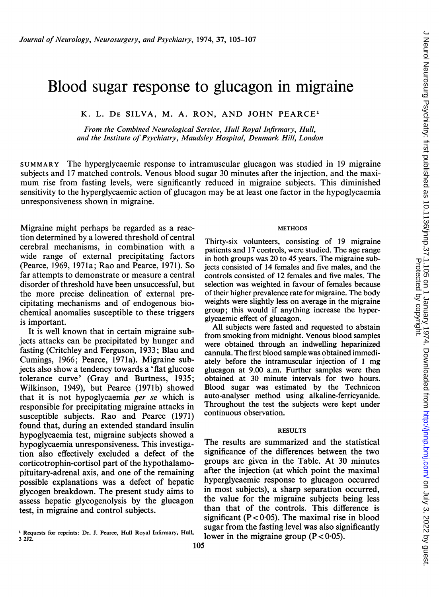# Blood sugar response to glucagon in migraine

K. L. DE SILVA, M. A. RON, AND JOHN PEARCE'

From the Combined Neurological Service, Hull Royal Infirmary, Hull, and the Institute of Psychiatry, Maudsley Hospital, Denmark Hill, London

SUMMARY The hyperglycaemic response to intramuscular glucagon was studied in <sup>19</sup> migraine subjects and 17 matched controls. Venous blood sugar 30 minutes after the injection, and the maximum rise from fasting levels, were significantly reduced in migraine subjects. This diminished sensitivity to the hyperglycaemic action of glucagon may be at least one factor in the hypoglycaemia unresponsiveness shown in migraine.

Migraine might perhaps be regarded as a reaction determined by a lowered threshold of central cerebral mechanisms, in combination with a wide range of external precipitating factors (Pearce, 1969, 1971a; Rao and Pearce, 1971). So far attempts to demonstrate or measure a central disorder of threshold have been unsuccessful, but the more precise delineation of external precipitating mechanisms and of endogenous biochemical anomalies susceptible to these triggers is important.

It is well known that in certain migraine subjects attacks can be precipitated by hunger and fasting (Critchley and Ferguson, 1933; Blau and Cumings, 1966; Pearce, 1971a). Migraine subjects also show a tendency towards a 'flat glucose tolerance curve' (Gray and Burtness, 1935; Wilkinson, 1949), but Pearce (1971b) showed that it is not hypoglycaemia per se which is responsible for precipitating migraine attacks in susceptible subjects. Rao and Pearce (1971) found that, during an extended standard insulin hypoglycaemia test, migraine subjects showed a hypoglycaemia unresponsiveness. This investigation also effectively excluded a defect of the corticotrophin-cortisol part of the hypothalamopituitary-adrenal axis, and one of the remaining possible explanations was a defect of hepatic glycogen breakdown. The present study aims to assess hepatic glycogenolysis by the glucagon test, in migraine and control subjects.

### **METHODS**

Thirty-six volunteers, consisting of 19 migraine patients and 17 controls, were studied. The age range in both groups was 20 to 45 years. The migraine subjects consisted of 14 females and five males, and the controls consisted of 12 females and five males. The selection was weighted in favour of females because of their higher prevalence rate for migraine. The body weights were slightly less on average in the migraine group; this would if anything increase the hyperglycaemic effect of glucagon.

All subjects were fasted and requested to abstain from smoking from midnight. Venous blood samples were obtained through an indwelling heparinized cannula. The first blood sample was obtained immediately before the intramuscular injection of <sup>1</sup> mg glucagon at 9.00 a.m. Further samples were then obtained at 30 minute intervals for two hours. Blood sugar was estimated by the Technicon auto-analyser method using alkaline-ferricyanide. Throughout the test the subjects were kept under continuous observation.

# **RESULTS**

The results are summarized and the statistical significance of the differences between the two groups are given in the Table. At 30 minutes after the injection (at which point the maximal hyperglycaemic response to glucagon occurred in most subjects), a sharp separation occurred, the value for the migraine subjects being less than that of the controls. This difference is significant  $(P < 0.05)$ . The maximal rise in blood sugar from the fasting level was also significantly lower in the migraine group  $(P < 0.05)$ .

<sup>&</sup>lt;sup>1</sup> Requests for reprints: Dr. J. Pearce, Hull Royal Infirmary, Hull, 3 2J2.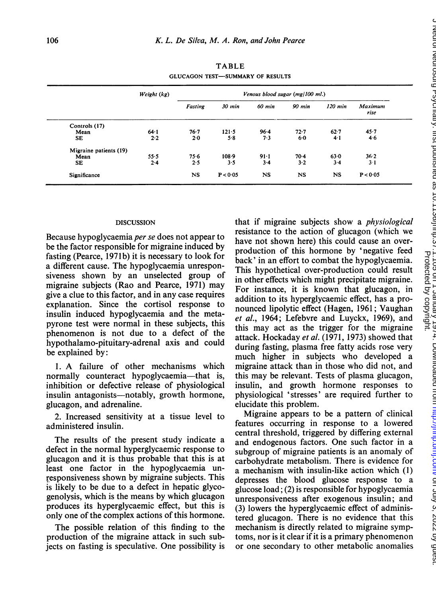TABLE GLUCAGON TEST-SUMMARY OF RESULTS

|                        | Weight (kg) | Venous blood sugar (mg/100 ml.) |           |           |             |           |                        |
|------------------------|-------------|---------------------------------|-----------|-----------|-------------|-----------|------------------------|
|                        |             | Fasting                         | 30 min    | 60 min    | 90 min      | 120 min   | <b>Maximum</b><br>rise |
| Controls (17)          |             |                                 |           |           |             |           |                        |
| Mean                   | 64.1        | 76.7                            | $121 - 5$ | 96.4      | $72 - 7$    | 62.7      | 45.7                   |
| <b>SE</b>              | 2.2         | 2.0                             | 5.8       | 7.3       | 6.0         | 4.1       | 46                     |
| Migraine patients (19) |             |                                 |           |           |             |           |                        |
| Mean                   | 55.5        | 75.6                            | $108 - 9$ | $91 - 1$  | 70.4        | 63.0      | 36.2                   |
| SE                     | 2.4         | 2.5                             | 3.5       | $3 - 4$   | $3-2$       | $3-4$     | $3-1$                  |
| Significance           |             | <b>NS</b>                       | P < 0.05  | <b>NS</b> | $_{\rm NS}$ | <b>NS</b> | P < 0.05               |

## DISCUSSION

Because hypoglycaemia per se does not appear to be the factor responsible for migraine induced by fasting (Pearce, 1971b) it is necessary to look for a different cause. The hypoglycaemia unresponsiveness shown by an unselected group of migraine subjects (Rao and Pearce, 1971) may give a clue to this factor, and in any case requires explanation. Since the cortisol response to insulin induced hypoglycaemia and the metapyrone test were normal in these subjects, this phenomenon is not due to a defect of the hypothalamo-pituitary-adrenal axis and could be explained by:

1. A failure of other mechanisms which normally counteract hypoglycaemia—that is, inhibition or defective release of physiological insulin antagonists—notably, growth hormone, glucagon, and adrenaline.

2. Increased sensitivity at a tissue level to administered insulin.

The results of the present study indicate a defect in the normal hyperglycaemic response to glucagon and it is thus probable that this is at least one factor in the hypoglycaemia unresponsiveness shown by migraine subjects. This is likely to be due to a defect in hepatic glycogenolysis, which is the means by which glucagon produces its hyperglycaemic effect, but this is only one of the complex actions of this hormone.

The possible relation of this finding to the production of the migraine attack in such subjects on fasting is speculative. One possibility is that if migraine subjects show a physiological resistance to the action of glucagon (which we have not shown here) this could cause an overproduction of this hormone by 'negative feed back' in an effort to combat the hypoglycaemia. This hypothetical over-production could result in other effects which might precipitate migraine. For instance, it is known that glucagon, in addition to its hyperglycaemic effect, has a pronounced lipolytic effect (Hagen, 1961; Vaughan et al., 1964; Lefebvre and Luyckx, 1969), and this may act as the trigger for the migraine attack. Hockaday et al. (1971, 1973) showed that during fasting, plasma free fatty acids rose very much higher in subjects who developed a migraine attack than in those who did not, and this may be relevant. Tests of plasma glucagon, insulin, and growth hormone responses to physiological 'stresses' are required further to elucidate this problem.

Migraine appears to be a pattern of clinical features occurring in response to a lowered central threshold, triggered by differing external and endogenous factors. One such factor in a subgroup of migraine patients is an anomaly of carbohydrate metabolism. There is evidence for a mechanism with insulin-like action which (1) depresses the blood glucose response to a glucose load; (2) is responsible for hypoglycaemia unresponsiveness after exogenous insulin; and (3) lowers the hyperglycaemic effect of administered glucagon. There is no evidence that this mechanism is directly related to migraine symptoms, nor is it clear if it is a primary phenomenon or one secondary to other metabolic anomalies